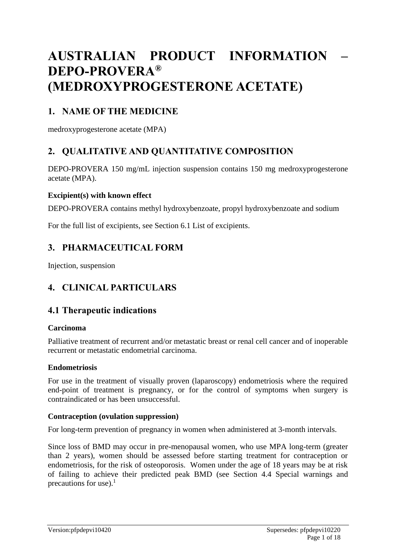# **AUSTRALIAN PRODUCT INFORMATION – DEPO-PROVERA® (MEDROXYPROGESTERONE ACETATE)**

## **1. NAME OF THE MEDICINE**

medroxyprogesterone acetate (MPA)

## **2. QUALITATIVE AND QUANTITATIVE COMPOSITION**

DEPO-PROVERA 150 mg/mL injection suspension contains 150 mg medroxyprogesterone acetate (MPA).

#### **Excipient(s) with known effect**

DEPO-PROVERA contains methyl hydroxybenzoate, propyl hydroxybenzoate and sodium

For the full list of excipients, see Section 6.1 List of excipients.

## **3. PHARMACEUTICAL FORM**

Injection, suspension

## **4. CLINICAL PARTICULARS**

## **4.1 Therapeutic indications**

#### **Carcinoma**

Palliative treatment of recurrent and/or metastatic breast or renal cell cancer and of inoperable recurrent or metastatic endometrial carcinoma.

#### **Endometriosis**

For use in the treatment of visually proven (laparoscopy) endometriosis where the required end-point of treatment is pregnancy, or for the control of symptoms when surgery is contraindicated or has been unsuccessful.

#### **Contraception (ovulation suppression)**

For long-term prevention of pregnancy in women when administered at 3-month intervals.

Since loss of BMD may occur in pre-menopausal women, who use MPA long-term (greater than 2 years), women should be assessed before starting treatment for contraception or endometriosis, for the risk of osteoporosis. Women under the age of 18 years may be at risk of failing to achieve their predicted peak BMD (see Section 4.4 Special warnings and precautions for use). $<sup>1</sup>$ </sup>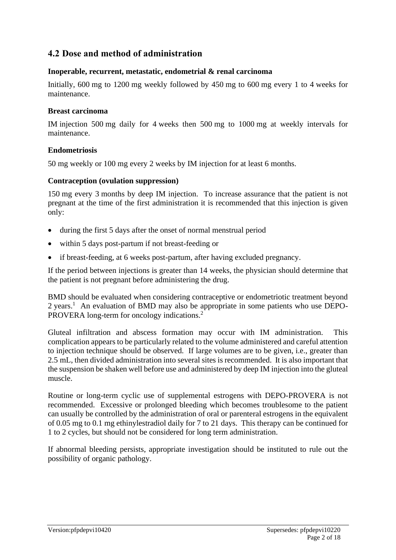## **4.2 Dose and method of administration**

#### **Inoperable, recurrent, metastatic, endometrial & renal carcinoma**

Initially, 600 mg to 1200 mg weekly followed by 450 mg to 600 mg every 1 to 4 weeks for maintenance.

#### **Breast carcinoma**

IM injection 500 mg daily for 4 weeks then 500 mg to 1000 mg at weekly intervals for maintenance.

#### **Endometriosis**

50 mg weekly or 100 mg every 2 weeks by IM injection for at least 6 months.

#### **Contraception (ovulation suppression)**

150 mg every 3 months by deep IM injection. To increase assurance that the patient is not pregnant at the time of the first administration it is recommended that this injection is given only:

- during the first 5 days after the onset of normal menstrual period
- within 5 days post-partum if not breast-feeding or
- if breast-feeding, at 6 weeks post-partum, after having excluded pregnancy.

If the period between injections is greater than 14 weeks, the physician should determine that the patient is not pregnant before administering the drug.

BMD should be evaluated when considering contraceptive or endometriotic treatment beyond 2 years.<sup>1</sup> An evaluation of BMD may also be appropriate in some patients who use DEPO-PROVERA long-term for oncology indications.<sup>2</sup>

Gluteal infiltration and abscess formation may occur with IM administration. This complication appears to be particularly related to the volume administered and careful attention to injection technique should be observed. If large volumes are to be given, i.e., greater than 2.5 mL, then divided administration into several sites is recommended. It is also important that the suspension be shaken well before use and administered by deep IM injection into the gluteal muscle.

Routine or long-term cyclic use of supplemental estrogens with DEPO-PROVERA is not recommended. Excessive or prolonged bleeding which becomes troublesome to the patient can usually be controlled by the administration of oral or parenteral estrogens in the equivalent of 0.05 mg to 0.1 mg ethinylestradiol daily for 7 to 21 days. This therapy can be continued for 1 to 2 cycles, but should not be considered for long term administration.

If abnormal bleeding persists, appropriate investigation should be instituted to rule out the possibility of organic pathology.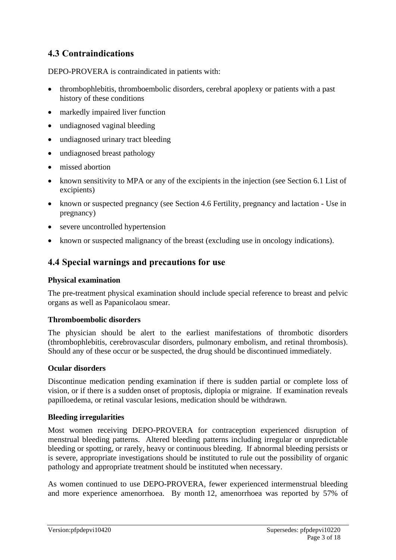## **4.3 Contraindications**

DEPO-PROVERA is contraindicated in patients with:

- thrombophlebitis, thromboembolic disorders, cerebral apoplexy or patients with a past history of these conditions
- markedly impaired liver function
- undiagnosed vaginal bleeding
- undiagnosed urinary tract bleeding
- undiagnosed breast pathology
- missed abortion
- known sensitivity to MPA or any of the excipients in the injection (see Section 6.1 List of excipients)
- known or suspected pregnancy (see Section 4.6 Fertility, pregnancy and lactation Use in pregnancy)
- severe uncontrolled hypertension
- known or suspected malignancy of the breast (excluding use in oncology indications).

## **4.4 Special warnings and precautions for use**

#### **Physical examination**

The pre-treatment physical examination should include special reference to breast and pelvic organs as well as Papanicolaou smear.

#### **Thromboembolic disorders**

The physician should be alert to the earliest manifestations of thrombotic disorders (thrombophlebitis, cerebrovascular disorders, pulmonary embolism, and retinal thrombosis). Should any of these occur or be suspected, the drug should be discontinued immediately.

#### **Ocular disorders**

Discontinue medication pending examination if there is sudden partial or complete loss of vision, or if there is a sudden onset of proptosis, diplopia or migraine. If examination reveals papilloedema, or retinal vascular lesions, medication should be withdrawn.

#### **Bleeding irregularities**

Most women receiving DEPO-PROVERA for contraception experienced disruption of menstrual bleeding patterns. Altered bleeding patterns including irregular or unpredictable bleeding or spotting, or rarely, heavy or continuous bleeding. If abnormal bleeding persists or is severe, appropriate investigations should be instituted to rule out the possibility of organic pathology and appropriate treatment should be instituted when necessary.

As women continued to use DEPO-PROVERA, fewer experienced intermenstrual bleeding and more experience amenorrhoea. By month 12, amenorrhoea was reported by 57% of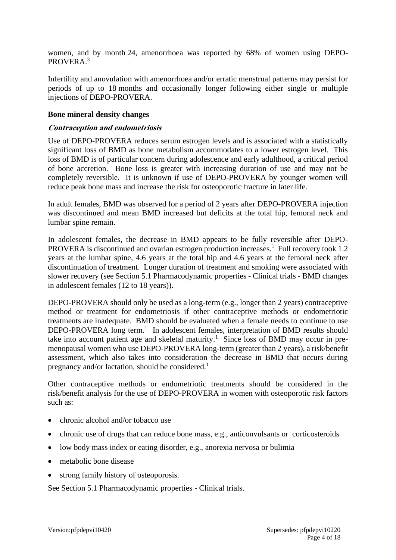women, and by month 24, amenorrhoea was reported by 68% of women using DEPO-PROVERA.<sup>3</sup>

Infertility and anovulation with amenorrhoea and/or erratic menstrual patterns may persist for periods of up to 18 months and occasionally longer following either single or multiple injections of DEPO-PROVERA.

#### **Bone mineral density changes**

#### **Contraception and endometriosis**

Use of DEPO-PROVERA reduces serum estrogen levels and is associated with a statistically significant loss of BMD as bone metabolism accommodates to a lower estrogen level. This loss of BMD is of particular concern during adolescence and early adulthood, a critical period of bone accretion. Bone loss is greater with increasing duration of use and may not be completely reversible. It is unknown if use of DEPO-PROVERA by younger women will reduce peak bone mass and increase the risk for osteoporotic fracture in later life.

In adult females, BMD was observed for a period of 2 years after DEPO-PROVERA injection was discontinued and mean BMD increased but deficits at the total hip, femoral neck and lumbar spine remain.

In adolescent females, the decrease in BMD appears to be fully reversible after DEPO-PROVERA is discontinued and ovarian estrogen production increases.<sup>1</sup> Full recovery took 1.2 years at the lumbar spine, 4.6 years at the total hip and 4.6 years at the femoral neck after discontinuation of treatment. Longer duration of treatment and smoking were associated with slower recovery (see Section 5.1 Pharmacodynamic properties - Clinical trials - BMD changes in adolescent females (12 to 18 years)).

DEPO-PROVERA should only be used as a long-term (e.g., longer than 2 years) contraceptive method or treatment for endometriosis if other contraceptive methods or endometriotic treatments are inadequate. BMD should be evaluated when a female needs to continue to use DEPO-PROVERA long term.<sup>1</sup> In adolescent females, interpretation of BMD results should take into account patient age and skeletal maturity.<sup>1</sup> Since loss of BMD may occur in premenopausal women who use DEPO-PROVERA long-term (greater than 2 years), a risk/benefit assessment, which also takes into consideration the decrease in BMD that occurs during pregnancy and/or lactation, should be considered.<sup>1</sup>

Other contraceptive methods or endometriotic treatments should be considered in the risk/benefit analysis for the use of DEPO-PROVERA in women with osteoporotic risk factors such as:

- chronic alcohol and/or tobacco use
- chronic use of drugs that can reduce bone mass, e.g., anticonvulsants or corticosteroids
- low body mass index or eating disorder, e.g., anorexia nervosa or bulimia
- metabolic bone disease
- strong family history of osteoporosis.

See Section 5.1 Pharmacodynamic properties - Clinical trials.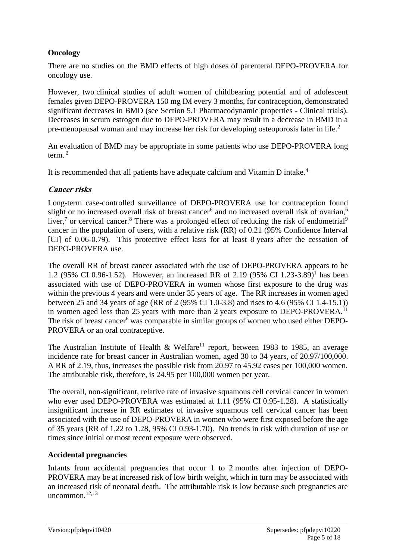### **Oncology**

There are no studies on the BMD effects of high doses of parenteral DEPO-PROVERA for oncology use.

However, two clinical studies of adult women of childbearing potential and of adolescent females given DEPO-PROVERA 150 mg IM every 3 months, for contraception, demonstrated significant decreases in BMD (see Section 5.1 Pharmacodynamic properties - Clinical trials). Decreases in serum estrogen due to DEPO-PROVERA may result in a decrease in BMD in a pre-menopausal woman and may increase her risk for developing osteoporosis later in life.<sup>2</sup>

An evaluation of BMD may be appropriate in some patients who use DEPO-PROVERA long term. $<sup>2</sup>$ </sup>

It is recommended that all patients have adequate calcium and Vitamin D intake.<sup>4</sup>

#### **Cancer risks**

Long-term case-controlled surveillance of DEPO-PROVERA use for contraception found slight or no increased overall risk of breast cancer<sup>6</sup> and no increased overall risk of ovarian,<sup>6</sup> liver,<sup>7</sup> or cervical cancer.<sup>8</sup> There was a prolonged effect of reducing the risk of endometrial<sup>9</sup> cancer in the population of users, with a relative risk (RR) of 0.21 (95% Confidence Interval [CI] of 0.06-0.79). This protective effect lasts for at least 8 years after the cessation of DEPO-PROVERA use.

The overall RR of breast cancer associated with the use of DEPO-PROVERA appears to be 1.2 (95% CI 0.96-1.52). However, an increased RR of 2.19 (95% CI 1.23-3.89)<sup>1</sup> has been associated with use of DEPO-PROVERA in women whose first exposure to the drug was within the previous 4 years and were under 35 years of age. The RR increases in women aged between 25 and 34 years of age (RR of 2 (95% CI 1.0-3.8) and rises to 4.6 (95% CI 1.4-15.1)) in women aged less than 25 years with more than 2 years exposure to DEPO-PROVERA.<sup>11</sup> The risk of breast cancer<sup>6</sup> was comparable in similar groups of women who used either DEPO-PROVERA or an oral contraceptive.

The Australian Institute of Health & Welfare<sup>11</sup> report, between 1983 to 1985, an average incidence rate for breast cancer in Australian women, aged 30 to 34 years, of 20.97/100,000. A RR of 2.19, thus, increases the possible risk from 20.97 to 45.92 cases per 100,000 women. The attributable risk, therefore, is 24.95 per 100,000 women per year.

The overall, non-significant, relative rate of invasive squamous cell cervical cancer in women who ever used DEPO-PROVERA was estimated at 1.11 (95% CI 0.95-1.28). A statistically insignificant increase in RR estimates of invasive squamous cell cervical cancer has been associated with the use of DEPO-PROVERA in women who were first exposed before the age of 35 years (RR of 1.22 to 1.28, 95% CI 0.93-1.70). No trends in risk with duration of use or times since initial or most recent exposure were observed.

#### **Accidental pregnancies**

Infants from accidental pregnancies that occur 1 to 2 months after injection of DEPO-PROVERA may be at increased risk of low birth weight, which in turn may be associated with an increased risk of neonatal death. The attributable risk is low because such pregnancies are uncommon $12,13$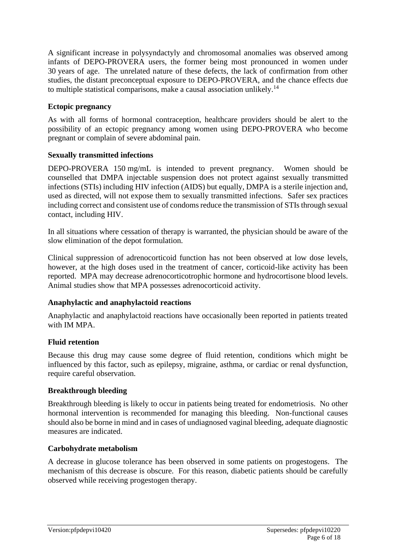A significant increase in polysyndactyly and chromosomal anomalies was observed among infants of DEPO-PROVERA users, the former being most pronounced in women under 30 years of age. The unrelated nature of these defects, the lack of confirmation from other studies, the distant preconceptual exposure to DEPO-PROVERA, and the chance effects due to multiple statistical comparisons, make a causal association unlikely.<sup>14</sup>

#### **Ectopic pregnancy**

As with all forms of hormonal contraception, healthcare providers should be alert to the possibility of an ectopic pregnancy among women using DEPO-PROVERA who become pregnant or complain of severe abdominal pain.

### **Sexually transmitted infections**

DEPO-PROVERA 150 mg/mL is intended to prevent pregnancy. Women should be counselled that DMPA injectable suspension does not protect against sexually transmitted infections (STIs) including HIV infection (AIDS) but equally, DMPA is a sterile injection and, used as directed, will not expose them to sexually transmitted infections. Safer sex practices including correct and consistent use of condoms reduce the transmission of STIs through sexual contact, including HIV.

In all situations where cessation of therapy is warranted, the physician should be aware of the slow elimination of the depot formulation.

Clinical suppression of adrenocorticoid function has not been observed at low dose levels, however, at the high doses used in the treatment of cancer, corticoid-like activity has been reported. MPA may decrease adrenocorticotrophic hormone and hydrocortisone blood levels. Animal studies show that MPA possesses adrenocorticoid activity.

#### **Anaphylactic and anaphylactoid reactions**

Anaphylactic and anaphylactoid reactions have occasionally been reported in patients treated with IM MPA.

## **Fluid retention**

Because this drug may cause some degree of fluid retention, conditions which might be influenced by this factor, such as epilepsy, migraine, asthma, or cardiac or renal dysfunction, require careful observation.

## **Breakthrough bleeding**

Breakthrough bleeding is likely to occur in patients being treated for endometriosis. No other hormonal intervention is recommended for managing this bleeding. Non-functional causes should also be borne in mind and in cases of undiagnosed vaginal bleeding, adequate diagnostic measures are indicated.

#### **Carbohydrate metabolism**

A decrease in glucose tolerance has been observed in some patients on progestogens. The mechanism of this decrease is obscure. For this reason, diabetic patients should be carefully observed while receiving progestogen therapy.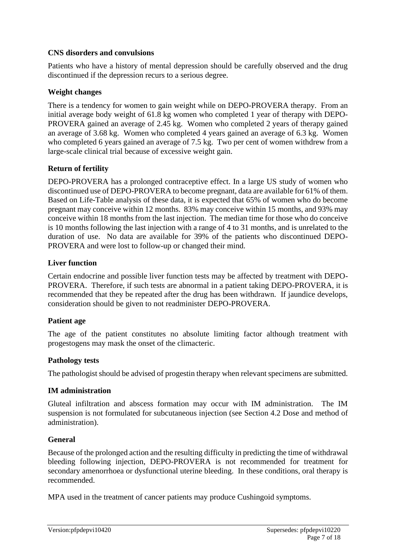#### **CNS disorders and convulsions**

Patients who have a history of mental depression should be carefully observed and the drug discontinued if the depression recurs to a serious degree.

#### **Weight changes**

There is a tendency for women to gain weight while on DEPO-PROVERA therapy. From an initial average body weight of 61.8 kg women who completed 1 year of therapy with DEPO-PROVERA gained an average of 2.45 kg. Women who completed 2 years of therapy gained an average of 3.68 kg. Women who completed 4 years gained an average of 6.3 kg. Women who completed 6 years gained an average of 7.5 kg. Two per cent of women withdrew from a large-scale clinical trial because of excessive weight gain.

#### **Return of fertility**

DEPO-PROVERA has a prolonged contraceptive effect. In a large US study of women who discontinued use of DEPO-PROVERA to become pregnant, data are available for 61% of them. Based on Life-Table analysis of these data, it is expected that 65% of women who do become pregnant may conceive within 12 months. 83% may conceive within 15 months, and 93% may conceive within 18 months from the last injection. The median time for those who do conceive is 10 months following the last injection with a range of 4 to 31 months, and is unrelated to the duration of use. No data are available for 39% of the patients who discontinued DEPO-PROVERA and were lost to follow-up or changed their mind.

#### **Liver function**

Certain endocrine and possible liver function tests may be affected by treatment with DEPO-PROVERA. Therefore, if such tests are abnormal in a patient taking DEPO-PROVERA, it is recommended that they be repeated after the drug has been withdrawn. If jaundice develops, consideration should be given to not readminister DEPO-PROVERA.

#### **Patient age**

The age of the patient constitutes no absolute limiting factor although treatment with progestogens may mask the onset of the climacteric.

#### **Pathology tests**

The pathologist should be advised of progestin therapy when relevant specimens are submitted.

#### **IM administration**

Gluteal infiltration and abscess formation may occur with IM administration. The IM suspension is not formulated for subcutaneous injection (see Section 4.2 Dose and method of administration).

#### **General**

Because of the prolonged action and the resulting difficulty in predicting the time of withdrawal bleeding following injection, DEPO-PROVERA is not recommended for treatment for secondary amenorrhoea or dysfunctional uterine bleeding. In these conditions, oral therapy is recommended.

MPA used in the treatment of cancer patients may produce Cushingoid symptoms.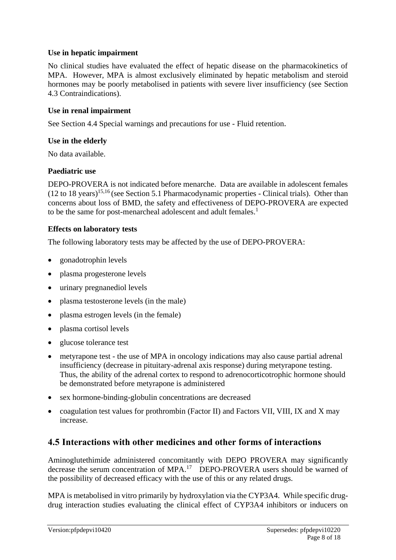#### **Use in hepatic impairment**

No clinical studies have evaluated the effect of hepatic disease on the pharmacokinetics of MPA. However, MPA is almost exclusively eliminated by hepatic metabolism and steroid hormones may be poorly metabolised in patients with severe liver insufficiency (see Section 4.3 Contraindications).

#### **Use in renal impairment**

See Section 4.4 Special warnings and precautions for use - Fluid retention.

#### **Use in the elderly**

No data available.

#### **Paediatric use**

DEPO-PROVERA is not indicated before menarche. Data are available in adolescent females  $(12 \text{ to } 18 \text{ years})^{15,16}$  (see Section 5.1 Pharmacodynamic properties - Clinical trials). Other than concerns about loss of BMD, the safety and effectiveness of DEPO-PROVERA are expected to be the same for post-menarcheal adolescent and adult females.<sup>1</sup>

#### **Effects on laboratory tests**

The following laboratory tests may be affected by the use of DEPO-PROVERA:

- gonadotrophin levels
- plasma progesterone levels
- urinary pregnanediol levels
- plasma testosterone levels (in the male)
- plasma estrogen levels (in the female)
- plasma cortisol levels
- glucose tolerance test
- metyrapone test the use of MPA in oncology indications may also cause partial adrenal insufficiency (decrease in pituitary-adrenal axis response) during metyrapone testing. Thus, the ability of the adrenal cortex to respond to adrenocorticotrophic hormone should be demonstrated before metyrapone is administered
- sex hormone-binding-globulin concentrations are decreased
- coagulation test values for prothrombin (Factor II) and Factors VII, VIII, IX and X may increase.

## **4.5 Interactions with other medicines and other forms of interactions**

Aminoglutethimide administered concomitantly with DEPO PROVERA may significantly decrease the serum concentration of MPA.<sup>17</sup> DEPO-PROVERA users should be warned of the possibility of decreased efficacy with the use of this or any related drugs.

MPA is metabolised in vitro primarily by hydroxylation via the CYP3A4. While specific drugdrug interaction studies evaluating the clinical effect of CYP3A4 inhibitors or inducers on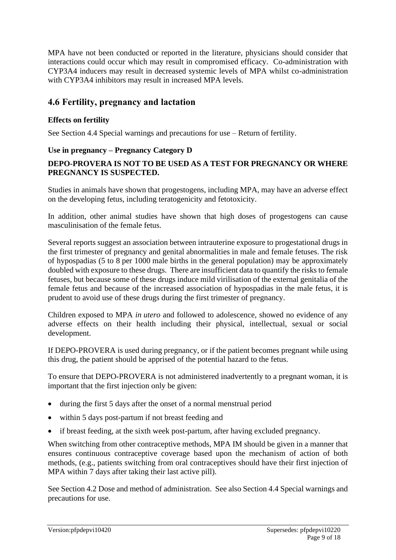MPA have not been conducted or reported in the literature, physicians should consider that interactions could occur which may result in compromised efficacy. Co-administration with CYP3A4 inducers may result in decreased systemic levels of MPA whilst co-administration with CYP3A4 inhibitors may result in increased MPA levels.

### **4.6 Fertility, pregnancy and lactation**

#### **Effects on fertility**

See Section 4.4 Special warnings and precautions for use – Return of fertility.

#### **Use in pregnancy – Pregnancy Category D**

#### **DEPO-PROVERA IS NOT TO BE USED AS A TEST FOR PREGNANCY OR WHERE PREGNANCY IS SUSPECTED.**

Studies in animals have shown that progestogens, including MPA, may have an adverse effect on the developing fetus, including teratogenicity and fetotoxicity.

In addition, other animal studies have shown that high doses of progestogens can cause masculinisation of the female fetus.

Several reports suggest an association between intrauterine exposure to progestational drugs in the first trimester of pregnancy and genital abnormalities in male and female fetuses. The risk of hypospadias (5 to 8 per 1000 male births in the general population) may be approximately doubled with exposure to these drugs. There are insufficient data to quantify the risks to female fetuses, but because some of these drugs induce mild virilisation of the external genitalia of the female fetus and because of the increased association of hypospadias in the male fetus, it is prudent to avoid use of these drugs during the first trimester of pregnancy.

Children exposed to MPA *in utero* and followed to adolescence, showed no evidence of any adverse effects on their health including their physical, intellectual, sexual or social development.

If DEPO-PROVERA is used during pregnancy, or if the patient becomes pregnant while using this drug, the patient should be apprised of the potential hazard to the fetus.

To ensure that DEPO-PROVERA is not administered inadvertently to a pregnant woman, it is important that the first injection only be given:

- during the first 5 days after the onset of a normal menstrual period
- within 5 days post-partum if not breast feeding and
- if breast feeding, at the sixth week post-partum, after having excluded pregnancy.

When switching from other contraceptive methods, MPA IM should be given in a manner that ensures continuous contraceptive coverage based upon the mechanism of action of both methods, (e.g., patients switching from oral contraceptives should have their first injection of MPA within 7 days after taking their last active pill).

See Section 4.2 Dose and method of administration. See also Section 4.4 Special warnings and precautions for use.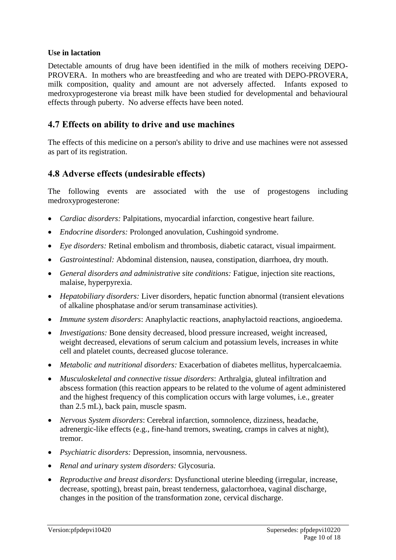#### **Use in lactation**

Detectable amounts of drug have been identified in the milk of mothers receiving DEPO-PROVERA. In mothers who are breastfeeding and who are treated with DEPO-PROVERA, milk composition, quality and amount are not adversely affected. Infants exposed to medroxyprogesterone via breast milk have been studied for developmental and behavioural effects through puberty. No adverse effects have been noted.

#### **4.7 Effects on ability to drive and use machines**

The effects of this medicine on a person's ability to drive and use machines were not assessed as part of its registration.

### **4.8 Adverse effects (undesirable effects)**

The following events are associated with the use of progestogens including medroxyprogesterone:

- *Cardiac disorders:* Palpitations, myocardial infarction, congestive heart failure.
- *Endocrine disorders:* Prolonged anovulation, Cushingoid syndrome.
- *Eye disorders:* Retinal embolism and thrombosis, diabetic cataract, visual impairment.
- *Gastrointestinal:* Abdominal distension, nausea, constipation, diarrhoea, dry mouth.
- *General disorders and administrative site conditions:* Fatigue, injection site reactions, malaise, hyperpyrexia.
- *Hepatobiliary disorders:* Liver disorders, hepatic function abnormal (transient elevations of alkaline phosphatase and/or serum transaminase activities).
- *Immune system disorders*: Anaphylactic reactions, anaphylactoid reactions, angioedema.
- *Investigations:* Bone density decreased, blood pressure increased, weight increased, weight decreased, elevations of serum calcium and potassium levels, increases in white cell and platelet counts, decreased glucose tolerance.
- *Metabolic and nutritional disorders:* Exacerbation of diabetes mellitus, hypercalcaemia.
- *Musculoskeletal and connective tissue disorders*: Arthralgia, gluteal infiltration and abscess formation (this reaction appears to be related to the volume of agent administered and the highest frequency of this complication occurs with large volumes, i.e., greater than 2.5 mL), back pain, muscle spasm.
- *Nervous System disorders*: Cerebral infarction, somnolence, dizziness, headache, adrenergic-like effects (e.g., fine-hand tremors, sweating, cramps in calves at night), tremor.
- *Psychiatric disorders:* Depression, insomnia, nervousness.
- *Renal and urinary system disorders:* Glycosuria.
- *Reproductive and breast disorders*: Dysfunctional uterine bleeding (irregular, increase, decrease, spotting), breast pain, breast tenderness, galactorrhoea, vaginal discharge, changes in the position of the transformation zone, cervical discharge.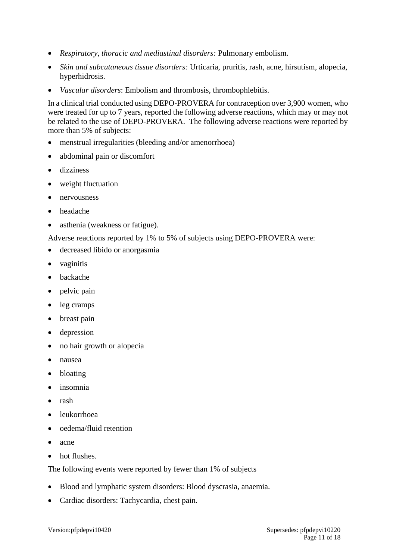- *Respiratory, thoracic and mediastinal disorders:* Pulmonary embolism.
- *Skin and subcutaneous tissue disorders:* Urticaria, pruritis, rash, acne, hirsutism, alopecia, hyperhidrosis.
- *Vascular disorders*: Embolism and thrombosis, thrombophlebitis.

In a clinical trial conducted using DEPO-PROVERA for contraception over 3,900 women, who were treated for up to 7 years, reported the following adverse reactions, which may or may not be related to the use of DEPO-PROVERA. The following adverse reactions were reported by more than 5% of subjects:

- menstrual irregularities (bleeding and/or amenorrhoea)
- abdominal pain or discomfort
- dizziness
- weight fluctuation
- nervousness
- headache
- asthenia (weakness or fatigue).

Adverse reactions reported by 1% to 5% of subjects using DEPO-PROVERA were:

- decreased libido or anorgasmia
- vaginitis
- **backache**
- pelvic pain
- leg cramps
- breast pain
- depression
- no hair growth or alopecia
- nausea
- bloating
- insomnia
- rash
- leukorrhoea
- oedema/fluid retention
- acne
- hot flushes.

The following events were reported by fewer than 1% of subjects

- Blood and lymphatic system disorders: Blood dyscrasia, anaemia.
- Cardiac disorders: Tachycardia, chest pain.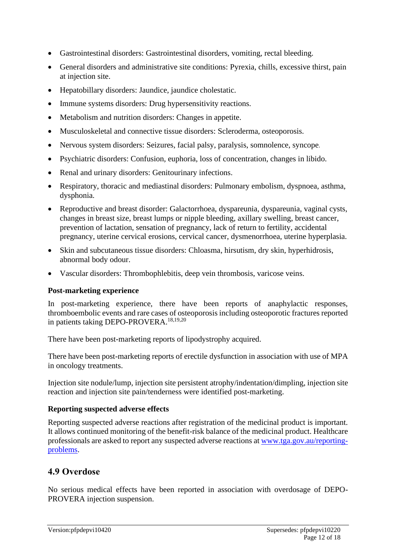- Gastrointestinal disorders: Gastrointestinal disorders, vomiting, rectal bleeding.
- General disorders and administrative site conditions: Pyrexia, chills, excessive thirst, pain at injection site.
- Hepatobillary disorders: Jaundice, jaundice cholestatic.
- Immune systems disorders: Drug hypersensitivity reactions.
- Metabolism and nutrition disorders: Changes in appetite.
- Musculoskeletal and connective tissue disorders: Scleroderma, osteoporosis.
- Nervous system disorders: Seizures, facial palsy, paralysis, somnolence, syncope.
- Psychiatric disorders: Confusion, euphoria, loss of concentration, changes in libido.
- Renal and urinary disorders: Genitourinary infections.
- Respiratory, thoracic and mediastinal disorders: Pulmonary embolism, dyspnoea, asthma, dysphonia.
- Reproductive and breast disorder: Galactorrhoea, dyspareunia, dyspareunia, vaginal cysts, changes in breast size, breast lumps or nipple bleeding, axillary swelling, breast cancer, prevention of lactation, sensation of pregnancy, lack of return to fertility, accidental pregnancy, uterine cervical erosions, cervical cancer, dysmenorrhoea, uterine hyperplasia.
- Skin and subcutaneous tissue disorders: Chloasma, hirsutism, dry skin, hyperhidrosis, abnormal body odour.
- Vascular disorders: Thrombophlebitis, deep vein thrombosis, varicose veins.

#### **Post-marketing experience**

In post-marketing experience, there have been reports of anaphylactic responses, thromboembolic events and rare cases of osteoporosis including osteoporotic fractures reported in patients taking DEPO-PROVERA.<sup>18,19,20</sup>

There have been post-marketing reports of lipodystrophy acquired.

There have been post-marketing reports of erectile dysfunction in association with use of MPA in oncology treatments.

Injection site nodule/lump, injection site persistent atrophy/indentation/dimpling, injection site reaction and injection site pain/tenderness were identified post-marketing.

#### **Reporting suspected adverse effects**

Reporting suspected adverse reactions after registration of the medicinal product is important. It allows continued monitoring of the benefit-risk balance of the medicinal product. Healthcare professionals are asked to report any suspected adverse reactions at [www.tga.gov.au/reporting](http://www.tga.gov.au/reporting-problems)[problems.](http://www.tga.gov.au/reporting-problems)

## **4.9 Overdose**

No serious medical effects have been reported in association with overdosage of DEPO-PROVERA injection suspension.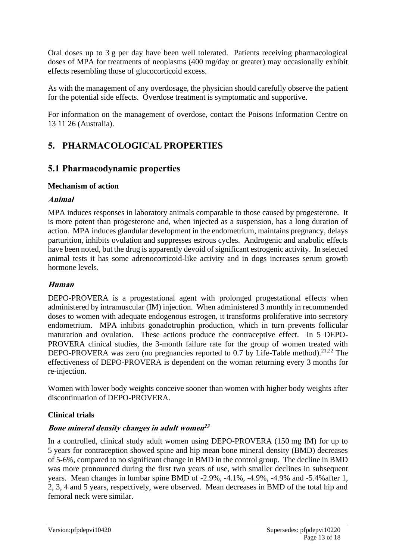Oral doses up to 3 g per day have been well tolerated. Patients receiving pharmacological doses of MPA for treatments of neoplasms (400 mg/day or greater) may occasionally exhibit effects resembling those of glucocorticoid excess.

As with the management of any overdosage, the physician should carefully observe the patient for the potential side effects. Overdose treatment is symptomatic and supportive.

For information on the management of overdose, contact the Poisons Information Centre on 13 11 26 (Australia).

## **5. PHARMACOLOGICAL PROPERTIES**

## **5.1 Pharmacodynamic properties**

#### **Mechanism of action**

#### **Animal**

MPA induces responses in laboratory animals comparable to those caused by progesterone. It is more potent than progesterone and, when injected as a suspension, has a long duration of action. MPA induces glandular development in the endometrium, maintains pregnancy, delays parturition, inhibits ovulation and suppresses estrous cycles. Androgenic and anabolic effects have been noted, but the drug is apparently devoid of significant estrogenic activity. In selected animal tests it has some adrenocorticoid-like activity and in dogs increases serum growth hormone levels.

#### **Human**

DEPO-PROVERA is a progestational agent with prolonged progestational effects when administered by intramuscular (IM) injection. When administered 3 monthly in recommended doses to women with adequate endogenous estrogen, it transforms proliferative into secretory endometrium. MPA inhibits gonadotrophin production, which in turn prevents follicular maturation and ovulation. These actions produce the contraceptive effect. In 5 DEPO-PROVERA clinical studies, the 3-month failure rate for the group of women treated with DEPO-PROVERA was zero (no pregnancies reported to  $0.7$  by Life-Table method).<sup>21,22</sup> The effectiveness of DEPO-PROVERA is dependent on the woman returning every 3 months for re-injection.

Women with lower body weights conceive sooner than women with higher body weights after discontinuation of DEPO-PROVERA.

#### **Clinical trials**

#### **Bone mineral density changes in adult women 23**

In a controlled, clinical study adult women using DEPO-PROVERA (150 mg IM) for up to 5 years for contraception showed spine and hip mean bone mineral density (BMD) decreases of 5-6%, compared to no significant change in BMD in the control group. The decline in BMD was more pronounced during the first two years of use, with smaller declines in subsequent years. Mean changes in lumbar spine BMD of -2.9%, -4.1%, -4.9%, -4.9% and -5.4%after 1, 2, 3, 4 and 5 years, respectively, were observed. Mean decreases in BMD of the total hip and femoral neck were similar.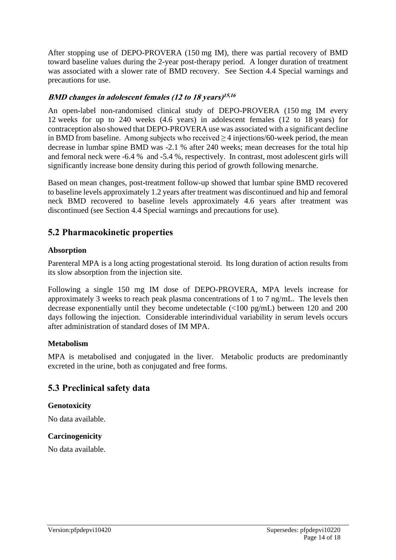After stopping use of DEPO-PROVERA (150 mg IM), there was partial recovery of BMD toward baseline values during the 2-year post-therapy period. A longer duration of treatment was associated with a slower rate of BMD recovery. See Section 4.4 Special warnings and precautions for use.

#### **BMD changes in adolescent females (12 to 18 years) 15,16**

An open-label non-randomised clinical study of DEPO-PROVERA (150 mg IM every 12 weeks for up to 240 weeks (4.6 years) in adolescent females (12 to 18 years) for contraception also showed that DEPO-PROVERA use was associated with a significant decline in BMD from baseline. Among subjects who received  $\geq$  4 injections/60-week period, the mean decrease in lumbar spine BMD was -2.1 % after 240 weeks; mean decreases for the total hip and femoral neck were -6.4 % and -5.4 %, respectively. In contrast, most adolescent girls will significantly increase bone density during this period of growth following menarche.

Based on mean changes, post-treatment follow-up showed that lumbar spine BMD recovered to baseline levels approximately 1.2 years after treatment was discontinued and hip and femoral neck BMD recovered to baseline levels approximately 4.6 years after treatment was discontinued (see Section 4.4 Special warnings and precautions for use).

## **5.2 Pharmacokinetic properties**

#### **Absorption**

Parenteral MPA is a long acting progestational steroid. Its long duration of action results from its slow absorption from the injection site.

Following a single 150 mg IM dose of DEPO-PROVERA, MPA levels increase for approximately 3 weeks to reach peak plasma concentrations of 1 to 7 ng/mL. The levels then decrease exponentially until they become undetectable (<100 pg/mL) between 120 and 200 days following the injection. Considerable interindividual variability in serum levels occurs after administration of standard doses of IM MPA.

#### **Metabolism**

MPA is metabolised and conjugated in the liver. Metabolic products are predominantly excreted in the urine, both as conjugated and free forms.

## **5.3 Preclinical safety data**

#### **Genotoxicity**

No data available.

#### **Carcinogenicity**

No data available.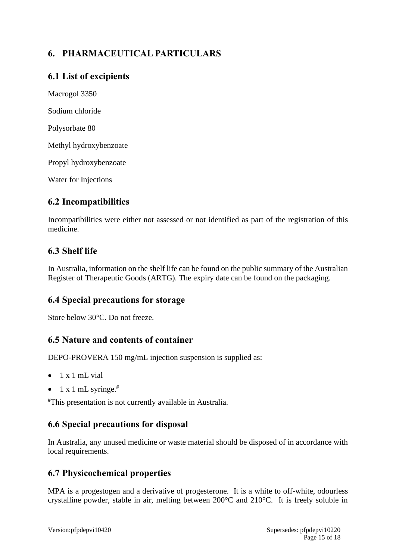## **6. PHARMACEUTICAL PARTICULARS**

## **6.1 List of excipients**

Macrogol 3350 Sodium chloride Polysorbate 80 Methyl hydroxybenzoate Propyl hydroxybenzoate

Water for Injections

## **6.2 Incompatibilities**

Incompatibilities were either not assessed or not identified as part of the registration of this medicine.

## **6.3 Shelf life**

In Australia, information on the shelf life can be found on the public summary of the Australian Register of Therapeutic Goods (ARTG). The expiry date can be found on the packaging.

## **6.4 Special precautions for storage**

Store below 30°C. Do not freeze.

## **6.5 Nature and contents of container**

DEPO-PROVERA 150 mg/mL injection suspension is supplied as:

- $\bullet$  1 x 1 mL vial
- 1 x 1 mL syringe. $#$

#This presentation is not currently available in Australia.

## **6.6 Special precautions for disposal**

In Australia, any unused medicine or waste material should be disposed of in accordance with local requirements.

## **6.7 Physicochemical properties**

MPA is a progestogen and a derivative of progesterone. It is a white to off-white, odourless crystalline powder, stable in air, melting between 200°C and 210°C. It is freely soluble in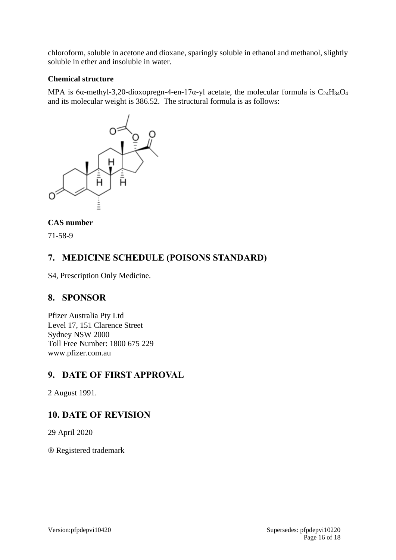chloroform, soluble in acetone and dioxane, sparingly soluble in ethanol and methanol, slightly soluble in ether and insoluble in water.

#### **Chemical structure**

MPA is 6 $\alpha$ -methyl-3,20-dioxopregn-4-en-17 $\alpha$ -yl acetate, the molecular formula is C<sub>24</sub>H<sub>34</sub>O<sub>4</sub> and its molecular weight is 386.52. The structural formula is as follows:



#### **CAS number**

71-58-9

## **7. MEDICINE SCHEDULE (POISONS STANDARD)**

S4, Prescription Only Medicine.

## **8. SPONSOR**

Pfizer Australia Pty Ltd Level 17, 151 Clarence Street Sydney NSW 2000 Toll Free Number: 1800 675 229 www.pfizer.com.au

## **9. DATE OF FIRST APPROVAL**

2 August 1991.

## **10. DATE OF REVISION**

29 April 2020

Registered trademark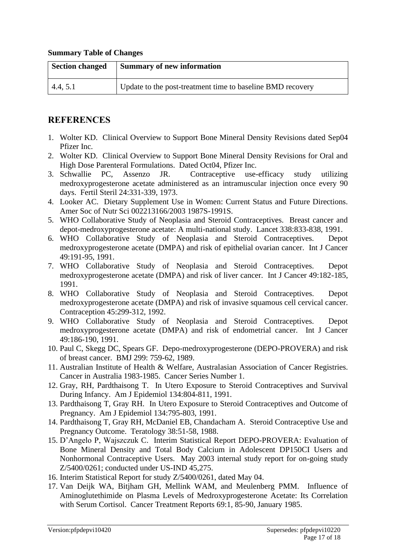#### **Summary Table of Changes**

| <b>Section changed</b> | Summary of new information                                 |
|------------------------|------------------------------------------------------------|
| 4.4, 5.1               | Update to the post-treatment time to baseline BMD recovery |

## **REFERENCES**

- 1. Wolter KD. Clinical Overview to Support Bone Mineral Density Revisions dated Sep04 Pfizer Inc.
- 2. Wolter KD. Clinical Overview to Support Bone Mineral Density Revisions for Oral and High Dose Parenteral Formulations. Dated Oct04, Pfizer Inc.
- 3. Schwallie PC, Assenzo JR. Contraceptive use-efficacy study utilizing medroxyprogesterone acetate administered as an intramuscular injection once every 90 days. Fertil Steril 24:331-339, 1973.
- 4. Looker AC. Dietary Supplement Use in Women: Current Status and Future Directions. Amer Soc of Nutr Sci 002213166/2003 1987S-1991S.
- 5. WHO Collaborative Study of Neoplasia and Steroid Contraceptives. Breast cancer and depot-medroxyprogesterone acetate: A multi-national study. Lancet 338:833-838, 1991.
- 6. WHO Collaborative Study of Neoplasia and Steroid Contraceptives. Depot medroxyprogesterone acetate (DMPA) and risk of epithelial ovarian cancer. Int J Cancer 49:191-95, 1991.
- 7. WHO Collaborative Study of Neoplasia and Steroid Contraceptives. Depot medroxyprogesterone acetate (DMPA) and risk of liver cancer. Int J Cancer 49:182-185, 1991.
- 8. WHO Collaborative Study of Neoplasia and Steroid Contraceptives. Depot medroxyprogesterone acetate (DMPA) and risk of invasive squamous cell cervical cancer. Contraception 45:299-312, 1992.
- 9. WHO Collaborative Study of Neoplasia and Steroid Contraceptives. Depot medroxyprogesterone acetate (DMPA) and risk of endometrial cancer. Int J Cancer 49:186-190, 1991.
- 10. Paul C, Skegg DC, Spears GF. Depo-medroxyprogesterone (DEPO-PROVERA) and risk of breast cancer. BMJ 299: 759-62, 1989.
- 11. Australian Institute of Health & Welfare, Australasian Association of Cancer Registries. Cancer in Australia 1983-1985. Cancer Series Number 1.
- 12. Gray, RH, Pardthaisong T. In Utero Exposure to Steroid Contraceptives and Survival During Infancy. Am J Epidemiol 134:804-811, 1991.
- 13. Pardthaisong T, Gray RH. In Utero Exposure to Steroid Contraceptives and Outcome of Pregnancy. Am J Epidemiol 134:795-803, 1991.
- 14. Pardthaisong T, Gray RH, McDaniel EB, Chandacham A. Steroid Contraceptive Use and Pregnancy Outcome. Teratology 38:51-58, 1988.
- 15. D'Angelo P, Wajszczuk C. Interim Statistical Report DEPO-PROVERA: Evaluation of Bone Mineral Density and Total Body Calcium in Adolescent DP150CI Users and Nonhormonal Contraceptive Users. May 2003 internal study report for on-going study Z/5400/0261; conducted under US-IND 45,275.
- 16. Interim Statistical Report for study Z/5400/0261, dated May 04.
- 17. Van Deijk WA, Bitjham GH, Mellink WAM, and Meulenberg PMM. Influence of Aminoglutethimide on Plasma Levels of Medroxyprogesterone Acetate: Its Correlation with Serum Cortisol. Cancer Treatment Reports 69:1, 85-90, January 1985.